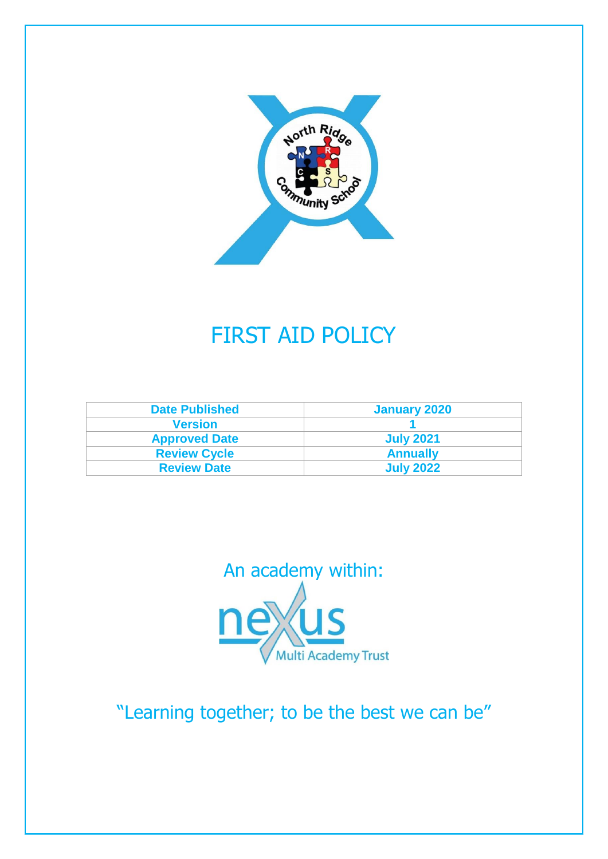

# FIRST AID POLICY

| <b>Date Published</b> | January 2020     |
|-----------------------|------------------|
| <b>Version</b>        |                  |
| <b>Approved Date</b>  | <b>July 2021</b> |
| <b>Review Cycle</b>   | <b>Annually</b>  |
| <b>Review Date</b>    | <b>July 2022</b> |



"Learning together; to be the best we can be"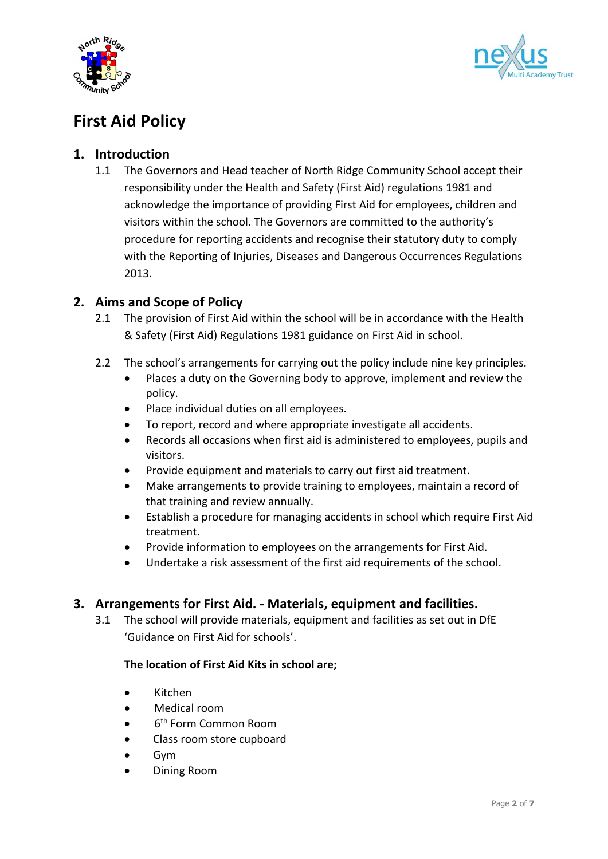



# **First Aid Policy**

# **1. Introduction**

1.1 The Governors and Head teacher of North Ridge Community School accept their responsibility under the Health and Safety (First Aid) regulations 1981 and acknowledge the importance of providing First Aid for employees, children and visitors within the school. The Governors are committed to the authority's procedure for reporting accidents and recognise their statutory duty to comply with the Reporting of Injuries, Diseases and Dangerous Occurrences Regulations 2013.

# **2. Aims and Scope of Policy**

- 2.1 The provision of First Aid within the school will be in accordance with the Health & Safety (First Aid) Regulations 1981 guidance on First Aid in school.
- 2.2 The school's arrangements for carrying out the policy include nine key principles.
	- Places a duty on the Governing body to approve, implement and review the policy.
	- Place individual duties on all employees.
	- To report, record and where appropriate investigate all accidents.
	- Records all occasions when first aid is administered to employees, pupils and visitors.
	- Provide equipment and materials to carry out first aid treatment.
	- Make arrangements to provide training to employees, maintain a record of that training and review annually.
	- Establish a procedure for managing accidents in school which require First Aid treatment.
	- Provide information to employees on the arrangements for First Aid.
	- Undertake a risk assessment of the first aid requirements of the school.

# **3. Arrangements for First Aid. - Materials, equipment and facilities.**

3.1 The school will provide materials, equipment and facilities as set out in DfE 'Guidance on First Aid for schools'.

#### **The location of First Aid Kits in school are;**

- Kitchen
- Medical room
- 6<sup>th</sup> Form Common Room
- Class room store cupboard
- Gym
- Dining Room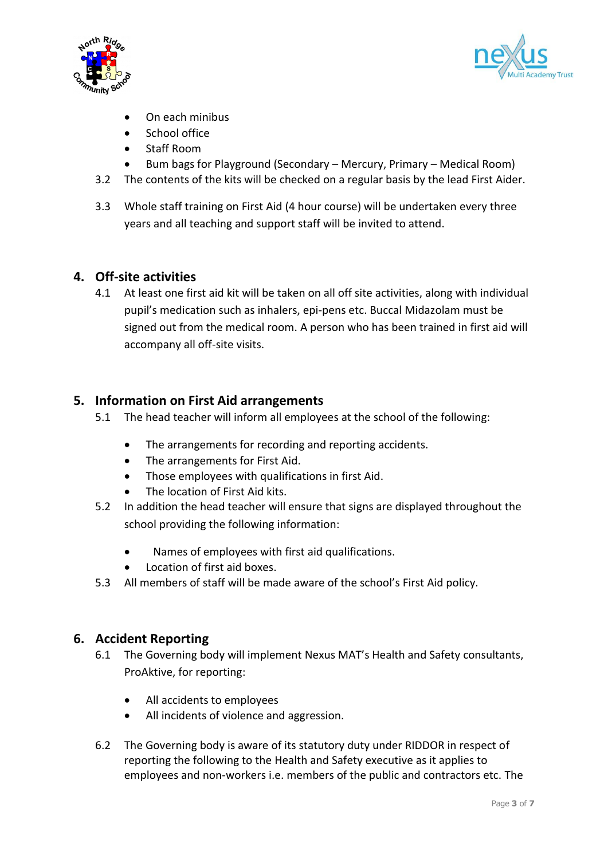



- On each minibus
- School office
- Staff Room
- Bum bags for Playground (Secondary Mercury, Primary Medical Room)
- 3.2 The contents of the kits will be checked on a regular basis by the lead First Aider.
- 3.3 Whole staff training on First Aid (4 hour course) will be undertaken every three years and all teaching and support staff will be invited to attend.

#### **4. Off-site activities**

4.1 At least one first aid kit will be taken on all off site activities, along with individual pupil's medication such as inhalers, epi-pens etc. Buccal Midazolam must be signed out from the medical room. A person who has been trained in first aid will accompany all off-site visits.

#### **5. Information on First Aid arrangements**

- 5.1 The head teacher will inform all employees at the school of the following:
	- The arrangements for recording and reporting accidents.
	- The arrangements for First Aid.
	- Those employees with qualifications in first Aid.
	- The location of First Aid kits.
- 5.2 In addition the head teacher will ensure that signs are displayed throughout the school providing the following information:
	- Names of employees with first aid qualifications.
	- Location of first aid boxes.
- 5.3 All members of staff will be made aware of the school's First Aid policy.

#### **6. Accident Reporting**

- 6.1 The Governing body will implement Nexus MAT's Health and Safety consultants, ProAktive, for reporting:
	- All accidents to employees
	- All incidents of violence and aggression.
- 6.2 The Governing body is aware of its statutory duty under RIDDOR in respect of reporting the following to the Health and Safety executive as it applies to employees and non-workers i.e. members of the public and contractors etc. The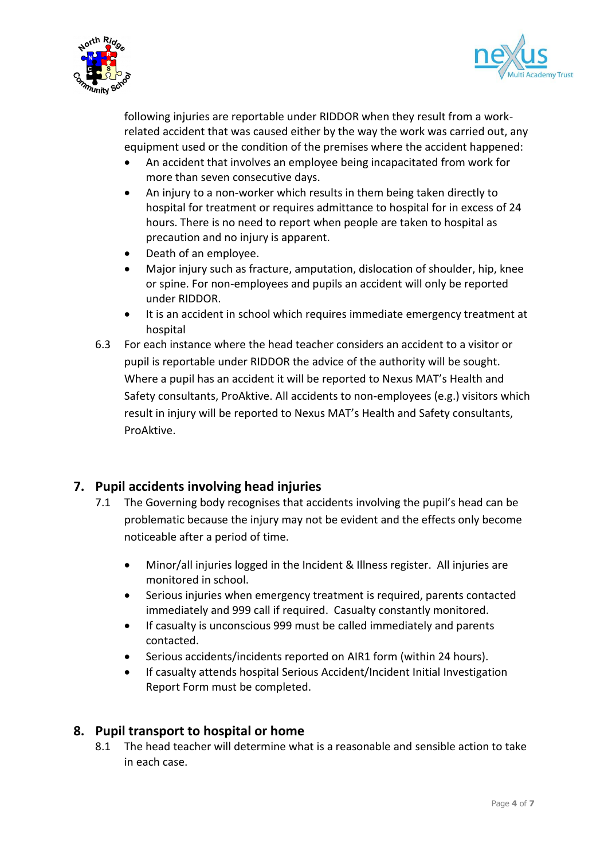



following injuries are reportable under RIDDOR when they result from a workrelated accident that was caused either by the way the work was carried out, any equipment used or the condition of the premises where the accident happened:

- An accident that involves an employee being incapacitated from work for more than seven consecutive days.
- An injury to a non-worker which results in them being taken directly to hospital for treatment or requires admittance to hospital for in excess of 24 hours. There is no need to report when people are taken to hospital as precaution and no injury is apparent.
- Death of an employee.
- Major injury such as fracture, amputation, dislocation of shoulder, hip, knee or spine. For non-employees and pupils an accident will only be reported under RIDDOR.
- It is an accident in school which requires immediate emergency treatment at hospital
- 6.3 For each instance where the head teacher considers an accident to a visitor or pupil is reportable under RIDDOR the advice of the authority will be sought. Where a pupil has an accident it will be reported to Nexus MAT's Health and Safety consultants, ProAktive. All accidents to non-employees (e.g.) visitors which result in injury will be reported to Nexus MAT's Health and Safety consultants, ProAktive.

# **7. Pupil accidents involving head injuries**

- 7.1 The Governing body recognises that accidents involving the pupil's head can be problematic because the injury may not be evident and the effects only become noticeable after a period of time.
	- Minor/all injuries logged in the Incident & Illness register. All injuries are monitored in school.
	- Serious injuries when emergency treatment is required, parents contacted immediately and 999 call if required. Casualty constantly monitored.
	- If casualty is unconscious 999 must be called immediately and parents contacted.
	- Serious accidents/incidents reported on AIR1 form (within 24 hours).
	- If casualty attends hospital Serious Accident/Incident Initial Investigation Report Form must be completed.

# **8. Pupil transport to hospital or home**

8.1 The head teacher will determine what is a reasonable and sensible action to take in each case.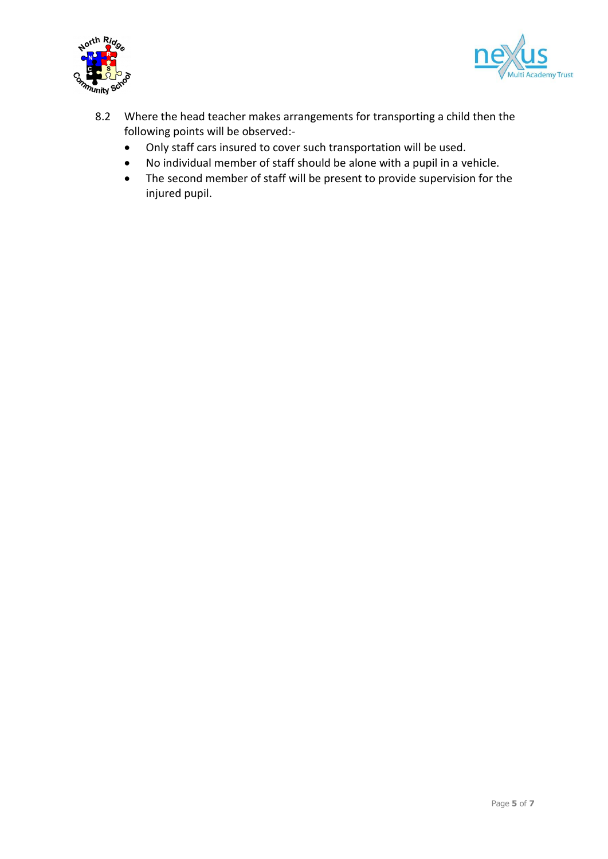



- 8.2 Where the head teacher makes arrangements for transporting a child then the following points will be observed:-
	- Only staff cars insured to cover such transportation will be used.
	- No individual member of staff should be alone with a pupil in a vehicle.
	- The second member of staff will be present to provide supervision for the injured pupil.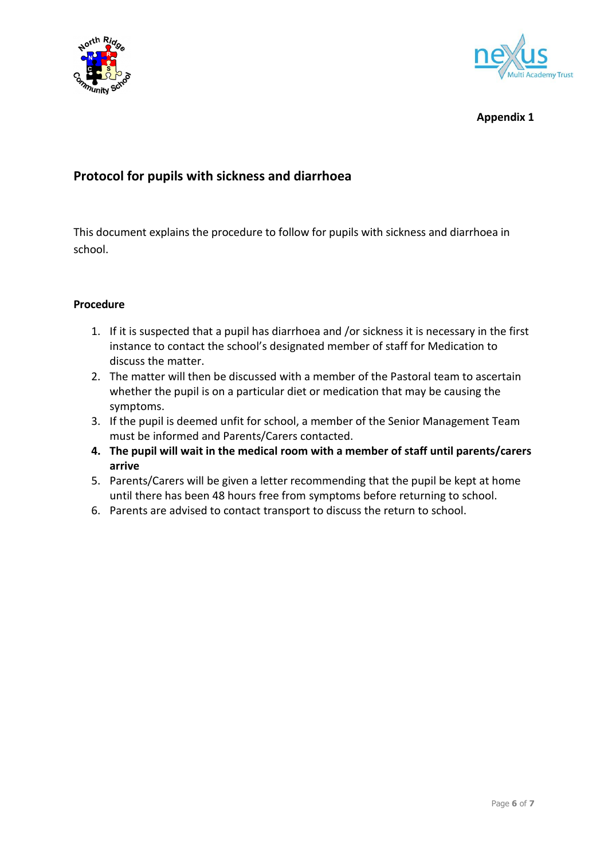



**Appendix 1** 

# **Protocol for pupils with sickness and diarrhoea**

This document explains the procedure to follow for pupils with sickness and diarrhoea in school.

#### **Procedure**

- 1. If it is suspected that a pupil has diarrhoea and /or sickness it is necessary in the first instance to contact the school's designated member of staff for Medication to discuss the matter.
- 2. The matter will then be discussed with a member of the Pastoral team to ascertain whether the pupil is on a particular diet or medication that may be causing the symptoms.
- 3. If the pupil is deemed unfit for school, a member of the Senior Management Team must be informed and Parents/Carers contacted.
- **4. The pupil will wait in the medical room with a member of staff until parents/carers arrive**
- 5. Parents/Carers will be given a letter recommending that the pupil be kept at home until there has been 48 hours free from symptoms before returning to school.
- 6. Parents are advised to contact transport to discuss the return to school.